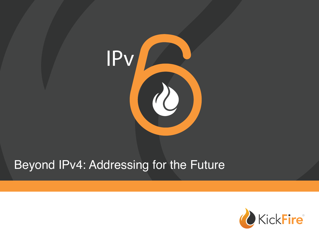

# Beyond IPv4: Addressing for the Future

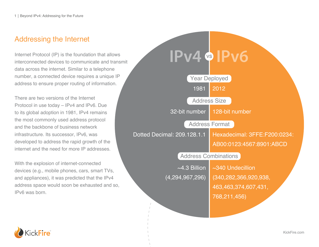## Addressing the Internet

Internet Protocol (IP) is the foundation that allows interconnected devices to communicate and transmit data across the internet. Similar to a telephone number, a connected device requires a unique IP address to ensure proper routing of information.

There are two versions of the Internet Protocol in use today – IPv4 and IPv6. Due to its global adoption in 1981, IPv4 remains the most commonly used address protocol and the backbone of business network infrastructure. Its successor, IPv6, was developed to address the rapid growth of the internet and the need for more IP addresses.

With the explosion of internet-connected devices (e.g., mobile phones, cars, smart TVs, and appliances), it was predicted that the IPv4 address space would soon be exhausted and so, IPv6 was born.



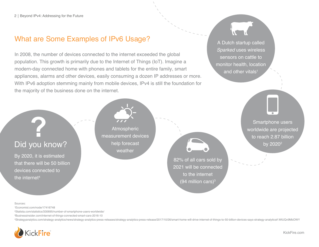## What are Some Examples of IPv6 Usage?

In 2008, the number of devices connected to the internet exceeded the global population. This growth is primarily due to the Internet of Things (IoT). Imagine a modern-day connected home with phones and tablets for the entire family, smart appliances, alarms and other devices, easily consuming a dozen IP addresses or more. With IPv6 adoption stemming mainly from mobile devices, IPv4 is still the foundation for the majority of the business done on the internet.

A Dutch startup called *Sparked* uses wireless sensors on cattle to monitor health, location and other vitals<sup>1</sup>

## Did you know?

By 2020, it is estimated that there will be 50 billion devices connected to the internet<sup>4</sup>

Atmospheric measurement devices help forecast weather

82% of all cars sold by 2021 will be connected to the internet (94 million cars) $3$ 

Smartphone users worldwide are projected to reach 2.87 billion by 2020<sup>2</sup>

### Sources:

1 Economist.com/node/17416748

2 Statista.com/statistics/330695/number-of-smartphone-users-worldwide/

3 Businessinsider.com/internet-of-things-connected-smart-cars-2016-10

4Strategyanalytics.com/strategy-analytics/news/strategy-analytics-press-releases/strategy-analytics-press-release/2017/10/26/smart-home-will-drive-internet-of-things-to-50-billion-devices-says-strategy-analytics#.WtUQv9MbO

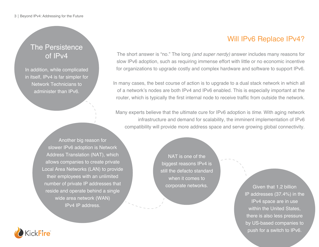## The Persistence of IPv4

In addition, while complicated in itself, IPv4 is far simpler for Network Technicians to administer than IPv6.

> Another big reason for slower IPv6 adoption is Network Address Translation (NAT), which allows companies to create private Local Area Networks (LAN) to provide their employees with an unlimited number of private IP addresses that reside and operate behind a single wide area network (WAN) IPv4 IP address.

NAT is one of the biggest reasons IPv4 is still the defacto standard when it comes to corporate networks.

Will IPv6 Replace IPv4?

The short answer is "no." The long *(and super nerdy)* answer includes many reasons for slow IPv6 adoption, such as requiring immense effort with little or no economic incentive for organizations to upgrade costly and complex hardware and software to support IPv6.

In many cases, the best course of action is to upgrade to a dual stack network in which all of a network's nodes are both IPv4 and IPv6 enabled. This is especially important at the router, which is typically the first internal node to receive traffic from outside the network.

Many experts believe that the ultimate cure for IPv6 adoption is *time*. With aging network infrastructure and demand for scalability, the imminent implementation of IPv6 compatibility will provide more address space and serve growing global connectivity.

> Given that 1.2 billion IP addresses (37.4%) in the IPv4 space are in use within the United States, there is also less pressure by US-based companies to push for a switch to IPv6.